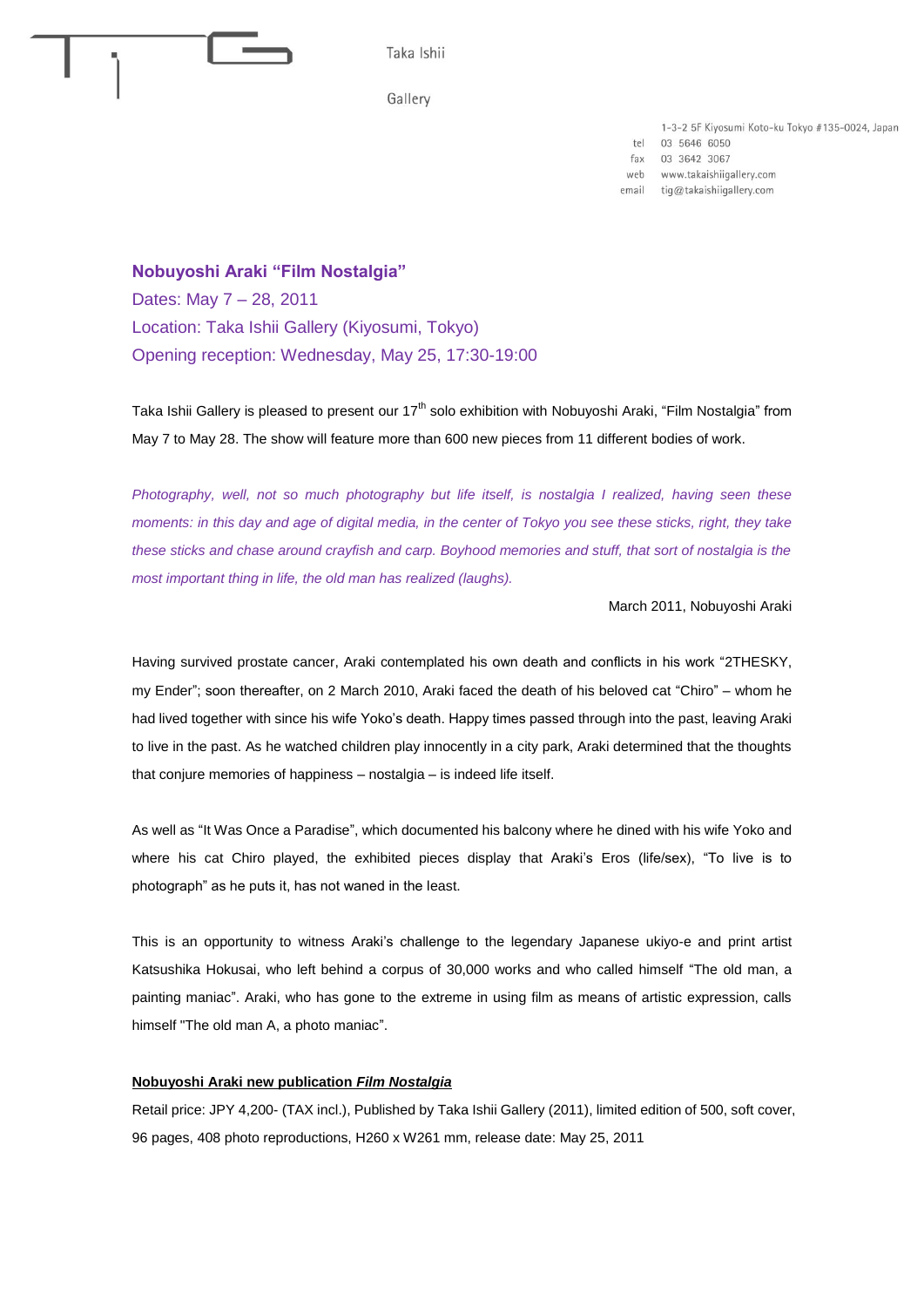

1-3-2 5F Kiyosumi Koto-ku Tokyo #135-0024, Japan

tel 03 5646 6050

fax 03 3642 3067

web www.takaishiigallery.com

tig@takaishiigallery.com email

**Nobuyoshi Araki "Film Nostalgia"** Dates: May 7 – 28, 2011 Location: Taka Ishii Gallery (Kiyosumi, Tokyo) Opening reception: Wednesday, May 25, 17:30-19:00

Taka Ishii Gallery is pleased to present our  $17<sup>th</sup>$  solo exhibition with Nobuyoshi Araki, "Film Nostalgia" from May 7 to May 28. The show will feature more than 600 new pieces from 11 different bodies of work.

*Photography, well, not so much photography but life itself, is nostalgia I realized, having seen these moments: in this day and age of digital media, in the center of Tokyo you see these sticks, right, they take these sticks and chase around crayfish and carp. Boyhood memories and stuff, that sort of nostalgia is the most important thing in life, the old man has realized (laughs).*

March 2011, Nobuyoshi Araki

Having survived prostate cancer, Araki contemplated his own death and conflicts in his work "2THESKY, my Ender"; soon thereafter, on 2 March 2010, Araki faced the death of his beloved cat "Chiro" – whom he had lived together with since his wife Yoko's death. Happy times passed through into the past, leaving Araki to live in the past. As he watched children play innocently in a city park, Araki determined that the thoughts that conjure memories of happiness – nostalgia – is indeed life itself.

As well as "It Was Once a Paradise", which documented his balcony where he dined with his wife Yoko and where his cat Chiro played, the exhibited pieces display that Araki's Eros (life/sex), "To live is to photograph" as he puts it, has not waned in the least.

This is an opportunity to witness Araki's challenge to the legendary Japanese ukiyo-e and print artist Katsushika Hokusai, who left behind a corpus of 30,000 works and who called himself "The old man, a painting maniac". Araki, who has gone to the extreme in using film as means of artistic expression, calls himself "The old man A, a photo maniac".

## **Nobuyoshi Araki new publication** *Film Nostalgia*

Retail price: JPY 4,200- (TAX incl.), Published by Taka Ishii Gallery (2011), limited edition of 500, soft cover, 96 pages, 408 photo reproductions, H260 x W261 mm, release date: May 25, 2011